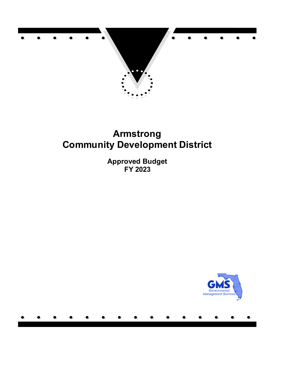

# **Armstrong Community Development District**

**Approved Budget FY 2023**

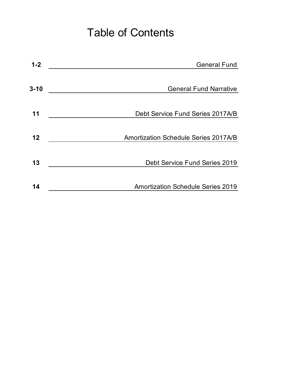# Table of Contents

| $1 - 2$  | <b>General Fund</b>                         |
|----------|---------------------------------------------|
|          |                                             |
| $3 - 10$ | <b>General Fund Narrative</b>               |
|          |                                             |
| 11       | Debt Service Fund Series 2017A/B            |
|          |                                             |
| 12       | <b>Amortization Schedule Series 2017A/B</b> |
|          |                                             |
| 13       | Debt Service Fund Series 2019               |
|          |                                             |
| 14       | <b>Amortization Schedule Series 2019</b>    |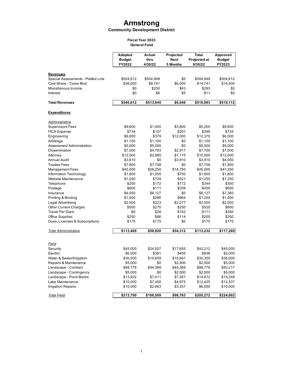# **Armstrong**

#### **Community Development District**

#### **Fiscal Year 2023 General Fund**

**Adopted Actual Projected Total Approved Budget thru Next Projected at Budget FY2022 4/30/22 5 Months 9/30/22 FY2023 Revenues** Special Assessments - Platted Lots  $$504,612$   $$504,948$  \$0  $$504,948$  \$504,612 Cost Share - Tynes Blvd \$36,000 \$8,741 \$6,000 \$14,741 \$14,500 Miscellanous Income \$0 \$250 \$43 \$293 \$0 lnterest \$0 \$6 \$5 \$11 \$0 **Total Revenues \$540,612 \$513,945 \$6,048 \$519,993 \$519,112 Expenditures** *Administrative* Supervisors Fees \$9,600 \$1,400 \$3,800 \$5,200 \$9,600 FICA Expense 6 107 \$734 \$107 \$291 \$398 \$734 Engineering 6,000 \$6,000 \$379 \$12,000 \$12,379 \$6,000 Arbitrage \$1,100 \$1,100 \$0 \$1,100 \$1,100 Assessment Administration  $$5,000$   $$5,000$   $$0$   $$5,000$   $$5,000$ Dissemination \$7,000 \$4,783 \$2,917 \$7,700 \$7,000 Attorney \$12,000 \$2,885 \$7,115 \$10,000 \$12,000 Annual Audit **53,910** \$3,910 \$3,910 \$3,910 \$4,050 Trustee Fees **57,800** \$7,800 \$7,758 \$0 \$7,758 \$7,800 Management Fees  $$45,000$   $$26,250$   $$18,750$   $$45,000$   $$47,250$ Information Technology \$1,800 \$1,050 \$750 \$1,800 \$1,800 Website Maintenance \$1,250 \$729 \$521 \$1,250 \$1,250 Telephone \$200 \$172 \$172 \$344 \$350 Postage \$600 \$111 \$339 \$450 \$600 Insurance \$6,550 \$6,127 \$0 \$6,127 \$7,360 Printing & Binding \$1,500 \$286 \$964 \$1,250 \$1,500 Legal Advertising \$2,500 \$223 \$2,277 \$2,500 \$2,500 Other Current Charges  $$500$   $$270$   $$250$   $$520$   $$600$ Travel Per Diem \$0 \$28 \$142 \$171 \$350 Office Supplies **6.250** \$250 \$86 \$114 \$200 \$250 Dues, Licenses & Subscriptions \$175 \$175 \$0 \$175 \$175 *Total Administrative* **\$113,469 \$58,920 \$54,312 \$113,232 \$117,269** *Field* Security \$45,000 \$24,557 \$17,655 \$42,212 \$45,000 Electric \$6,000 \$381 \$455 \$836 \$2,000 Water & Sewer/Irrigation \$30,000 \$19,659 \$15,691 \$35,350 \$36,000 Repairs & Maintenance  $$5,000$  \$2,500 \$2,500 \$5,000 Landscape - Contract 688,778 \$88,778 \$44,389 \$88,778 \$93,217 Landscape - Contingency  $$5,000$  \$0  $$2,500$  \$2,500 \$5,000 Landscape - Pond Banks \$13,922 \$7,411 \$7,261 \$14,672 \$15,248 Lake Maintenance **610,000** \$10,000 \$7,450 \$4,975 \$12,425 \$12,537 Irrigation Repairs \$10,000 \$2,663 \$3,337 \$6,000 \$10,000 *Total Field* **\$213,700 \$106,509 \$98,763 \$205,272 \$224,002**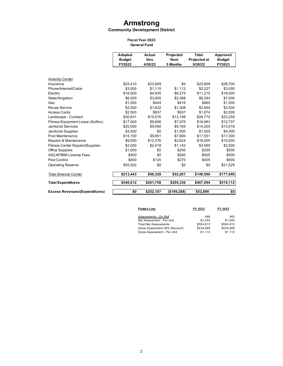# **Armstrong**

#### **Community Development District**

# **Fiscal Year 2023**

**General Fund**

|                                        | Adopted<br><b>Budget</b><br>FY2022 | Actual<br>thru<br>4/30/22 | Projected<br><b>Next</b><br>5 Months | Total<br><b>Projected at</b><br>9/30/22 | Approved<br><b>Budget</b><br>FY2023 |
|----------------------------------------|------------------------------------|---------------------------|--------------------------------------|-----------------------------------------|-------------------------------------|
|                                        |                                    |                           |                                      |                                         |                                     |
| <b>Amenity Center</b>                  |                                    |                           |                                      |                                         |                                     |
| Insurance                              | \$25,410                           | \$23,909                  | \$0                                  | \$23,909                                | \$28,700                            |
| Phone/Internet/Cable                   | \$3,000                            | \$1,115                   | \$1.112                              | \$2.227                                 | \$3,000                             |
| Electric                               | \$16,000                           | \$4,935                   | \$6,275                              | \$11,210                                | \$16,000                            |
| Water/Irrigation                       | \$6,000                            | \$3,905                   | \$2,388                              | \$6,293                                 | \$7,000                             |
| Gas                                    | \$1,500                            | \$444                     | \$416                                | \$860                                   | \$1,500                             |
| Reuse Service                          | \$2,500                            | \$1,632                   | \$1,308                              | \$2.940                                 | \$3,500                             |
| <b>Access Cards</b>                    | \$2,500                            | \$937                     | \$937                                | \$1.874                                 | \$2,500                             |
| Landscape - Contract                   | \$30,631                           | \$15,576                  | \$13,198                             | \$28.774                                | \$33,259                            |
| Fitness Equipment Lease (Sofitco)      | \$17,500                           | \$9,906                   | \$7,076                              | \$16,983                                | \$12,737                            |
| <b>Janitorial Services</b>             | \$20,000                           | \$9,090                   | \$5,165                              | \$14,255                                | \$13,016                            |
| Janitorial Supplies                    | \$4.000                            | \$0                       | \$1.000                              | \$1,000                                 | \$4.000                             |
| Pool Maintenance                       | \$15,100                           | \$9.951                   | \$7.600                              | \$17.551                                | \$17,300                            |
| Repairs & Maintenance                  | \$9,000                            | \$12,376                  | \$3.624                              | \$16,000                                | \$10,000                            |
| <b>Fitness Center Repairs/Supplies</b> | \$2,500                            | \$2,418                   | \$1,142                              | \$3,560                                 | \$2,500                             |
| Office Supplies                        | \$1,000                            | \$0                       | \$250                                | \$250                                   | \$500                               |
| <b>ASCAP/BMI License Fees</b>          | \$500                              | \$0                       | \$500                                | \$500                                   | \$500                               |
| Pest Control                           | \$800                              | \$135                     | \$270                                | \$405                                   | \$800                               |
| <b>Operating Reserve</b>               | \$55,502                           | \$0                       | \$0                                  | \$0                                     | \$21,029                            |
| <b>Total Amenity Center</b>            | \$213,443                          | \$96,329                  | \$52,261                             | \$148,590                               | \$177,840                           |
| <b>Total Expenditures</b>              | \$540,612                          | \$261,758                 | \$205,336                            | \$467,094                               | \$519,112                           |
| <b>Excess Revenues/(Expenditures)</b>  | \$0                                | \$252,187                 | (\$199,288)                          | \$52,899                                | \$0                                 |

| <b>Platted Lots:</b>           | FY 2022   | FY 2023   |
|--------------------------------|-----------|-----------|
| Assessments - On Roll          | 486       | 483       |
| Net Assessment - Per Unit      | \$1.045   | \$1.045   |
| <b>Total Net Assessments</b>   | \$504.612 | \$504.612 |
| Gross Assessment (6% Discount) | \$534.889 | \$534.889 |
| Gross Assessment - Per Unit    | \$1.112   | \$1.112   |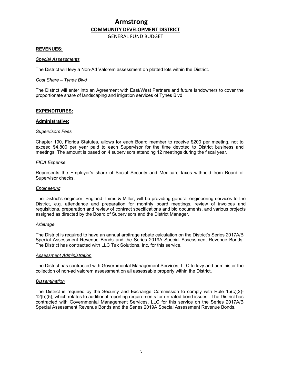GENERAL FUND BUDGET

# **REVENUES:**

#### *Special Assessments*

The District will levy a Non-Ad Valorem assessment on platted lots within the District.

#### *Cost Share – Tynes Blvd*

The District will enter into an Agreement with East/West Partners and future landowners to cover the proportionate share of landscaping and irrigation services of Tynes Blvd.

# **EXPENDITURES:**

#### **Administrative:**

#### *Supervisors Fees*

Chapter 190, Florida Statutes, allows for each Board member to receive \$200 per meeting, not to exceed \$4,800 per year paid to each Supervisor for the time devoted to District business and meetings. The amount is based on 4 supervisors attending 12 meetings during the fiscal year.

#### *FICA Expense*

Represents the Employer's share of Social Security and Medicare taxes withheld from Board of Supervisor checks.

# *Engineering*

The District's engineer, England-Thims & Miller, will be providing general engineering services to the District, e.g. attendance and preparation for monthly board meetings, review of invoices and requisitions, preparation and review of contract specifications and bid documents, and various projects assigned as directed by the Board of Supervisors and the District Manager.

#### *Arbitrage*

The District is required to have an annual arbitrage rebate calculation on the District's Series 2017A/B Special Assessment Revenue Bonds and the Series 2019A Special Assessment Revenue Bonds. The District has contracted with LLC Tax Solutions, Inc. for this service.

# *Assessment Administration*

The District has contracted with Governmental Management Services, LLC to levy and administer the collection of non-ad valorem assessment on all assessable property within the District.

# *Dissemination*

The District is required by the Security and Exchange Commission to comply with Rule 15(c)(2)- 12(b)(5), which relates to additional reporting requirements for un-rated bond issues. The District has contracted with Governmental Management Services, LLC for this service on the Series 2017A/B Special Assessment Revenue Bonds and the Series 2019A Special Assessment Revenue Bonds.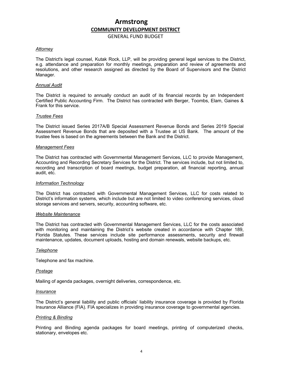GENERAL FUND BUDGET

#### *Attorney*

The District's legal counsel, Kutak Rock, LLP, will be providing general legal services to the District, e.g. attendance and preparation for monthly meetings, preparation and review of agreements and resolutions, and other research assigned as directed by the Board of Supervisors and the District Manager.

#### *Annual Audit*

The District is required to annually conduct an audit of its financial records by an Independent Certified Public Accounting Firm. The District has contracted with Berger, Toombs, Elam, Gaines & Frank for this service.

#### *Trustee Fees*

The District issued Series 2017A/B Special Assessment Revenue Bonds and Series 2019 Special Assessment Revenue Bonds that are deposited with a Trustee at US Bank. The amount of the trustee fees is based on the agreements between the Bank and the District.

#### *Management Fees*

The District has contracted with Governmental Management Services, LLC to provide Management, Accounting and Recording Secretary Services for the District. The services include, but not limited to, recording and transcription of board meetings, budget preparation, all financial reporting, annual audit, etc.

#### *Information Technology*

The District has contracted with Governmental Management Services, LLC for costs related to District's information systems, which include but are not limited to video conferencing services, cloud storage services and servers, security, accounting software, etc.

#### *Website Maintenance*

The District has contracted with Governmental Management Services, LLC for the costs associated with monitoring and maintaining the District's website created in accordance with Chapter 189, Florida Statutes. These services include site performance assessments, security and firewall maintenance, updates, document uploads, hosting and domain renewals, website backups, etc.

#### *Telephone*

Telephone and fax machine.

#### *Postage*

Mailing of agenda packages, overnight deliveries, correspondence, etc.

#### *Insurance*

The District's general liability and public officials' liability insurance coverage is provided by Florida Insurance Alliance (FIA). FIA specializes in providing insurance coverage to governmental agencies.

#### *Printing & Binding*

Printing and Binding agenda packages for board meetings, printing of computerized checks, stationary, envelopes etc.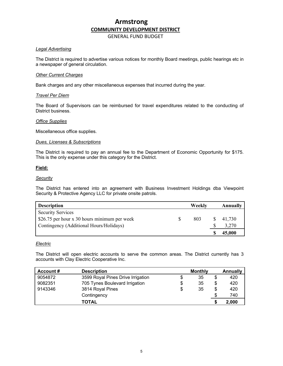GENERAL FUND BUDGET

# *Legal Advertising*

The District is required to advertise various notices for monthly Board meetings, public hearings etc in a newspaper of general circulation.

# *Other Current Charges*

Bank charges and any other miscellaneous expenses that incurred during the year.

# *Travel Per Diem*

The Board of Supervisors can be reimbursed for travel expenditures related to the conducting of District business.

# *Office Supplies*

Miscellaneous office supplies.

# *Dues, Licenses & Subscriptions*

The District is required to pay an annual fee to the Department of Economic Opportunity for \$175. This is the only expense under this category for the District.

# **Field:**

# *Security*

The District has entered into an agreement with Business Investment Holdings dba Viewpoint Security & Protective Agency LLC for private onsite patrols.

| <b>Description</b>                           | Weekly | Annually |
|----------------------------------------------|--------|----------|
| <b>Security Services</b>                     |        |          |
| \$26.75 per hour x 30 hours minimum per week | 803    | 41,730   |
| Contingency (Additional Hours/Holidays)      |        | 3,270    |
|                                              |        | 45,000   |

# *Electric*

The District will open electric accounts to serve the common areas. The District currently has 3 accounts with Clay Electric Cooperative Inc.

| Account # | <b>Description</b>                | <b>Monthly</b> |    | <b>Annually</b> |
|-----------|-----------------------------------|----------------|----|-----------------|
| 9054872   | 3599 Royal Pines Drive Irrigation | \$<br>35       | \$ | 420             |
| 9082351   | 705 Tynes Boulevard Irrigation    | \$<br>35       | S  | 420             |
| 9143346   | 3814 Royal Pines                  | \$<br>35       | \$ | 420             |
|           | Contingency                       |                | S  | 740             |
|           | <b>TOTAL</b>                      |                |    | 2,000           |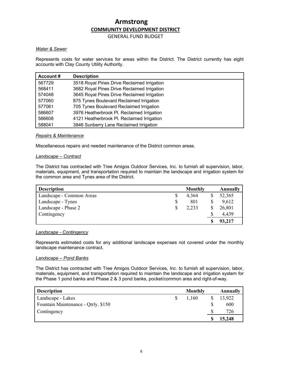GENERAL FUND BUDGET

# *Water & Sewer*

Represents costs for water services for areas within the District. The District currently has eight accounts with Clay County Utility Authority.

| Account # | <b>Description</b>                          |
|-----------|---------------------------------------------|
| 567729    | 3518 Royal Pines Drive Reclaimed Irrigation |
| 568411    | 3682 Royal Pines Drive Reclaimed Irrigation |
| 574048    | 3645 Royal Pines Drive Reclaimed Irrigation |
| 577060    | 875 Tynes Boulevard Reclaimed Irrigation    |
| 577061    | 705 Tynes Boulevard Reclaimed Irrigation    |
| 586607    | 3976 Heatherbrook Pl. Reclaimed Irrigation  |
| 586608    | 4121 Heatherbrook Pl. Reclaimed Irrigation  |
| 588041    | 3846 Sunberry Lane Reclaimed Irrigation     |

# *Repairs & Maintenance*

Miscellaneous repairs and needed maintenance of the District common areas.

# *Landscape – Contract*

The District has contracted with Tree Amigos Outdoor Services, Inc. to furnish all supervision, labor, materials, equipment, and transportation required to maintain the landscape and irrigation system for the common area and Tynes area of the District.

| <b>Description</b>       |    | Monthly | Annually |
|--------------------------|----|---------|----------|
| Landscape - Common Areas |    | 4,364   | 52,365   |
| Landscape - Tynes        | \$ | 801     | 9,612    |
| Landscape - Phase 2      | S  | 2,233   | 26,801   |
| Contingency              |    |         | 4,439    |
|                          |    |         | 93,217   |

# *Landscape - Contingency*

Represents estimated costs for any additional landscape expenses not covered under the monthly landscape maintenance contract.

# *Landscape – Pond Banks*

The District has contracted with Tree Amigos Outdoor Services, Inc. to furnish all supervision, labor, materials, equipment, and transportation required to maintain the landscape and irrigation system for the Phase 1 pond banks and Phase 2 & 3 pond banks, pocket/common area and right-of-way.

| <b>Description</b>                  | Monthly |   | Annually |
|-------------------------------------|---------|---|----------|
| Landscape - Lakes                   | 1,160   |   | 13,922   |
| Fountain Maintenance - Qtrly. \$150 |         | S | 600      |
| Contingency                         |         |   | 726      |
|                                     |         |   | 15,248   |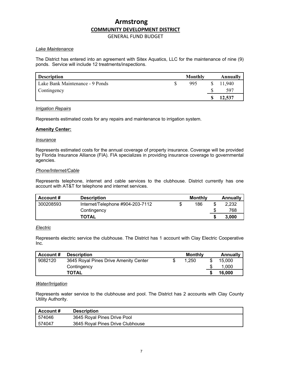# GENERAL FUND BUDGET

# *Lake Maintenance*

The District has entered into an agreement with Sitex Aquatics, LLC for the maintenance of nine (9) ponds. Service will include 12 treatments/inspections.

| <b>Description</b>              | Monthly | Annually |
|---------------------------------|---------|----------|
| Lake Bank Maintenance - 9 Ponds | 995     | 11,940   |
| Contingency                     |         | 597      |
|                                 |         | 12,537   |

# *Irrigation Repairs*

Represents estimated costs for any repairs and maintenance to irrigation system.

# **Amenity Center:**

# *Insurance*

Represents estimated costs for the annual coverage of property insurance. Coverage will be provided by Florida Insurance Alliance (FIA). FIA specializes in providing insurance coverage to governmental agencies.

# *Phone/Internet/Cable*

Represents telephone, internet and cable services to the clubhouse. District currently has one account with AT&T for telephone and internet services.

| Account # | <b>Description</b>               | Monthly   | Annually    |
|-----------|----------------------------------|-----------|-------------|
| 300208593 | Internet/Telephone #904-203-7112 | \$<br>186 | \$<br>2,232 |
|           | Contingency                      |           | \$<br>768   |
|           | <b>TOTAL</b>                     |           | 3.000       |

# *Electric*

Represents electric service the clubhouse. The District has 1 account with Clay Electric Cooperative Inc.

| Account # | <b>Description</b>                    | Monthly | Annually |
|-----------|---------------------------------------|---------|----------|
| 9082120   | 3645 Royal Pines Drive Amenity Center | 1.250   | 15.000   |
|           | Contingency                           |         | 1,000    |
|           | <b>TOTAL</b>                          |         | 16,000   |

# *Water/Irrigation*

Represents water service to the clubhouse and pool. The District has 2 accounts with Clay County Utility Authority.

| Account # | <b>Description</b>               |
|-----------|----------------------------------|
| 574046    | 3645 Royal Pines Drive Pool      |
| 574047    | 3645 Royal Pines Drive Clubhouse |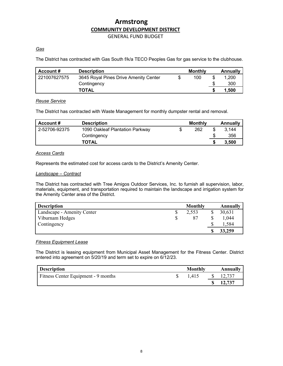GENERAL FUND BUDGET

# *Gas*

The District has contracted with Gas South f/k/a TECO Peoples Gas for gas service to the clubhouse.

| Account #    | <b>Description</b>                    | Monthly | Annually    |
|--------------|---------------------------------------|---------|-------------|
| 221007627575 | 3645 Royal Pines Drive Amenity Center | 100     | \$<br>1.200 |
|              | Contingency                           |         | 300         |
|              | <b>TOTAL</b>                          |         | 1.500       |

# *Reuse Service*

The District has contracted with Waste Management for monthly dumpster rental and removal.

| Account #     | <b>Description</b>              |   | Monthly | Annually |
|---------------|---------------------------------|---|---------|----------|
| 2-52706-92375 | 1090 Oakleaf Plantation Parkway | S | 262     | 3.144    |
|               | Contingency                     |   |         | 356      |
|               | <b>TOTAL</b>                    |   |         | 3.500    |

# *Access Cards*

Represents the estimated cost for access cards to the District's Amenity Center.

# *Landscape – Contract*

The District has contracted with Tree Amigos Outdoor Services, Inc. to furnish all supervision, labor, materials, equipment, and transportation required to maintain the landscape and irrigation system for the Amenity Center area of the District.

| <b>Description</b>         |   | <b>Monthly</b> | Annually |
|----------------------------|---|----------------|----------|
| Landscape - Amenity Center | Φ | 2,553          | 30,631   |
| Viburnam Hedges            |   | 87             | ,044     |
| Contingency                |   |                | .584     |
|                            |   |                | 33,259   |

# *Fitness Equipment Lease*

The District is leasing equipment from Municipal Asset Management for the Fitness Center. District entered into agreement on 5/20/19 and term set to expire on 6/12/23.

| <b>Description</b>                  | Monthly | Annually |
|-------------------------------------|---------|----------|
| Fitness Center Equipment - 9 months | 1.415   |          |
|                                     |         | 12,737   |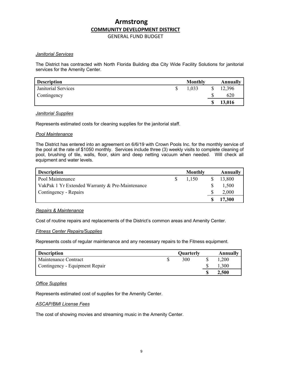GENERAL FUND BUDGET

# *Janitorial Services*

The District has contracted with North Florida Building dba City Wide Facility Solutions for janitorial services for the Amenity Center.

| <b>Description</b>  | <b>Monthly</b> | Annually |
|---------------------|----------------|----------|
| Janitorial Services | 1,033          | 12,396   |
| Contingency         |                | 620      |
|                     |                | 13,016   |

# *Janitorial Supplies*

Represents estimated costs for cleaning supplies for the janitorial staff.

# *Pool Maintenance*

The District has entered into an agreement on 6/6/19 with Crown Pools Inc. for the monthly service of the pool at the rate of \$1050 monthly. Services include three (3) weekly visits to complete cleaning of pool, brushing of tile, walls, floor, skim and deep netting vacuum when needed. Will check all equipment and water levels.

| <b>Description</b>                              | Monthly | <b>Annually</b> |
|-------------------------------------------------|---------|-----------------|
| Pool Maintenance                                | 1.150   | 13,800          |
| VakPak 1 Yr Extended Warranty & Pre-Maintenance |         | 1,500           |
| Contingency - Repairs                           |         | 2,000           |
|                                                 |         | 17,300          |

# *Repairs & Maintenance*

Cost of routine repairs and replacements of the District's common areas and Amenity Center.

# *Fitness Center Repairs/Supplies*

Represents costs of regular maintenance and any necessary repairs to the Fitness equipment.

| <b>Description</b>             | Quarterly | Annually     |
|--------------------------------|-----------|--------------|
| Maintenance Contract           | 300       | 200          |
| Contingency - Equipment Repair |           |              |
|                                |           | <b>4,500</b> |

#### *Office Supplies*

Represents estimated cost of supplies for the Amenity Center.

#### *ASCAP/BMI License Fees*

The cost of showing movies and streaming music in the Amenity Center.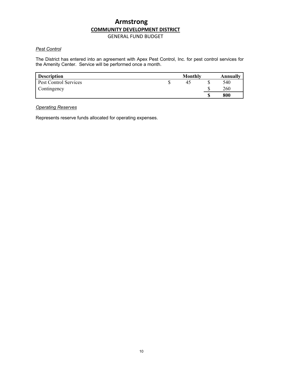GENERAL FUND BUDGET

# *Pest Control*

The District has entered into an agreement with Apex Pest Control, Inc. for pest control services for the Amenity Center. Service will be performed once a month.

| <b>Description</b>    | <b>Monthly</b> |   | Annually |
|-----------------------|----------------|---|----------|
| Pest Control Services | 42             |   | 540      |
| Contingency           |                |   | 260      |
|                       |                | S | 800      |

# *Operating Reserves*

Represents reserve funds allocated for operating expenses.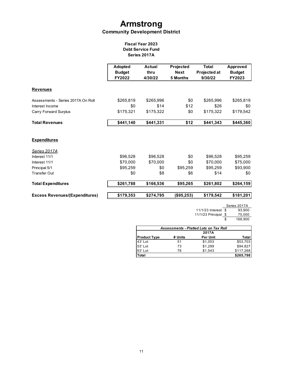# **Armstrong Community Development District**

# **Fiscal Year 2023 Debt Service Fund Series 2017A**

|                                       | Adopted<br><b>Budget</b><br><b>FY2022</b> | <b>Actual</b><br>thru<br>4/30/22 | Projected<br><b>Next</b><br>5 Months | <b>Total</b><br>Projected at<br>9/30/22 | <b>Approved</b><br><b>Budget</b><br>FY2023 |
|---------------------------------------|-------------------------------------------|----------------------------------|--------------------------------------|-----------------------------------------|--------------------------------------------|
| <b>Revenues</b>                       |                                           |                                  |                                      |                                         |                                            |
| Assessments - Series 2017A On Roll    | \$265,819                                 | \$265,996                        | \$0                                  | \$265,996                               | \$265,819                                  |
| Interest Income                       | \$0                                       | \$14                             | \$12                                 | \$26                                    | \$0                                        |
| Carry Forward Surplus                 | \$175,321                                 | \$175,322                        | \$0                                  | \$175,322                               | \$179,542                                  |
| <b>Total Revenues</b>                 | \$441,140                                 | \$441,331                        | \$12                                 | \$441,343                               | \$445,360                                  |
| <b>Expenditures</b>                   |                                           |                                  |                                      |                                         |                                            |
| <u>Series 2017A</u>                   |                                           |                                  |                                      |                                         |                                            |
| Interest 11/1                         | \$96,528                                  | \$96,528                         | \$0                                  | \$96,528                                | \$95,259                                   |
| Interest 11/1                         | \$70,000                                  | \$70,000                         | \$0                                  | \$70,000                                | \$75,000                                   |
| Principal 5/1                         | \$95,259                                  | \$0                              | \$95,259                             | \$95,259                                | \$93,900                                   |
| <b>Transfer Out</b>                   | \$0                                       | \$8                              | \$6                                  | \$14                                    | \$0                                        |
| <b>Total Expenditures</b>             | \$261,788                                 | \$166,536                        | \$95,265                             | \$261,802                               | \$264,159                                  |
| <b>Excess Revenues/(Expenditures)</b> | \$179,353                                 | \$274,795                        | (\$95,253)                           | \$179,542                               | \$181,201                                  |

Series 2017A 11/1/23 Interest  $\overline{\$}$ 11/1/23 Principal  $\frac{\$}{\$}$  $\frac{32017}{93,900}$   $\frac{75,000}{168,900}$ 

| <b>Assessments - Platted Lots on Tax Roll</b> |         |                 |           |  |  |  |  |
|-----------------------------------------------|---------|-----------------|-----------|--|--|--|--|
|                                               |         | 2017A           |           |  |  |  |  |
| <b>Product Type</b>                           | # Units | <b>Per Unit</b> | Total     |  |  |  |  |
| 43' Lot                                       | 51      | \$1,053         | \$53,703  |  |  |  |  |
| 53' Lot                                       | 73      | \$1.299         | \$94.827  |  |  |  |  |
| 63'Lot                                        | 76      | \$1.543         | \$117,268 |  |  |  |  |
| Total                                         |         |                 | \$265,798 |  |  |  |  |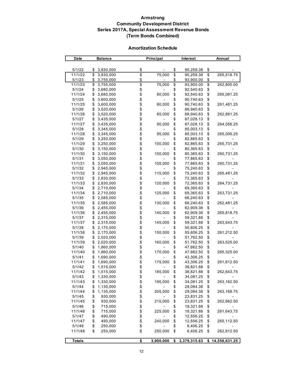# **Armstrong Community Development District Series 2017A, Special Assessment Revenue Bonds (Term Bonds Combined)**

#### **Amortization Schedule**

| Date          | <b>Balance</b>  |                   | Principal                | <b>Interest</b>    | Annual           |
|---------------|-----------------|-------------------|--------------------------|--------------------|------------------|
|               |                 |                   |                          |                    |                  |
| 5/1/22        | \$<br>3,830,000 | \$                |                          | \$<br>95,259.38    | \$               |
| 11/1/22       | \$              | $\overline{\$}$   | 75,000                   | \$                 | \$               |
|               | 3,830,000       |                   |                          | 95,259.38          | 265,518.75       |
| 5/1/23        | \$<br>3,755,000 | \$                |                          | \$<br>93,900.00    | \$               |
| 11/1/23       | \$<br>3,755,000 | \$                | 75,000                   | \$<br>93,900.00    | \$<br>262,800.00 |
| 5/1/24        | \$<br>3,680,000 | \$                |                          | \$<br>92,540.63    | \$               |
| 11/1/24       | \$<br>3,680,000 |                   | 80,000                   | \$<br>92,540.63    | \$<br>265,081.25 |
| 5/1/25        | \$<br>3,600,000 |                   |                          | \$<br>90,740.63    | \$               |
| 11/1/25       | \$<br>3,600,000 |                   | 80,000                   | \$<br>90,740.63    | \$<br>261,481.25 |
| 5/1/26        | \$<br>3,520,000 | \$\$\$            |                          | \$<br>88,940.63    | \$               |
| 11/1/26       | \$<br>3,520,000 |                   | 85,000                   | \$<br>88,940.63    | \$<br>262,881.25 |
| 5/1/27        | \$<br>3,435,000 |                   |                          | \$<br>87,028.13    | \$               |
| 11/1/27       | \$<br>3,435,000 | \$\$\$            | 90,000                   | \$<br>87,028.13    | \$<br>264,056.25 |
| 5/1/28        | \$<br>3,345,000 |                   |                          | \$<br>85,003.13    | \$               |
| 11/1/28       | \$<br>3,345,000 |                   | 95,000                   | \$<br>85,003.13    | \$<br>265,006.25 |
| 5/1/29        | \$<br>3,250,000 |                   |                          | \$<br>82,865.63    | \$               |
| 11/1/29       | \$<br>3,250,000 |                   | 100,000                  | \$<br>82,865.63    | \$<br>265,731.25 |
| 5/1/30        | \$<br>3,150,000 | \$\$\$\$\$        |                          | \$<br>80,365.63    | \$               |
|               |                 |                   | 100,000                  |                    | \$<br>260,731.25 |
| 11/1/30       | \$<br>3,150,000 |                   |                          | \$<br>80,365.63    |                  |
| 5/1/31        | \$<br>3,050,000 |                   |                          | \$<br>77,865.63    | \$               |
| 11/1/31       | \$<br>3,050,000 |                   | 105,000                  | \$<br>77,865.63    | \$<br>260,731.25 |
| 5/1/32        | \$<br>2,945,000 | \$\$\$\$\$        |                          | \$<br>75,240.63    | \$               |
| 11/1/32       | \$<br>2,945,000 |                   | 115,000                  | \$<br>75,240.63    | \$<br>265,481.25 |
| 5/1/33        | \$<br>2,830,000 |                   |                          | \$<br>72,365.63    | \$               |
| 11/1/33       | \$<br>2,830,000 | \$\$\$            | 120,000                  | \$<br>72,365.63    | \$<br>264,731.25 |
| 5/1/34        | \$<br>2,710,000 |                   |                          | \$<br>69,365.63    | \$               |
| 11/1/34       | \$<br>2,710,000 |                   | 125,000                  | \$<br>69,365.63    | \$<br>263,731.25 |
| 5/1/35        | \$<br>2,585,000 |                   |                          | \$<br>66,240.63    | \$               |
| 11/1/35       | \$<br>2,585,000 |                   | 130,000                  | \$<br>66,240.63    | \$<br>262,481.25 |
| 5/1/36        | \$<br>2,455,000 | \$\$\$\$\$        |                          | \$<br>62,909.38    | \$               |
| 11/1/36       | \$<br>2,455,000 |                   | 140,000                  | \$<br>62,909.38    | \$<br>265,818.75 |
| 5/1/37        | \$<br>2,315,000 |                   |                          | \$<br>59,321.88    | \$               |
| 11/1/37       | \$<br>2,315,000 |                   | 145,000                  | \$<br>59,321.88    | \$<br>263,643.75 |
| 5/1/38        | \$<br>2,170,000 |                   |                          | \$<br>55,606.25    | \$               |
| 11/1/38       | \$<br>2,170,000 | \$\$\$\$\$\$\$    | 150,000                  | \$<br>55,606.25    | \$<br>261,212.50 |
| 5/1/39        | \$<br>2,020,000 |                   |                          | 51,762.50          | \$               |
|               |                 |                   |                          | \$                 | \$               |
| 11/1/39       | \$<br>2,020,000 |                   | 160,000                  | \$<br>51,762.50    | 263,525.00       |
| 5/1/40        | \$<br>1,860,000 |                   |                          | \$<br>47,662.50    | \$               |
| 11/1/40       | \$<br>1,860,000 |                   | 170,000                  | \$<br>47,662.50    | \$<br>265,325.00 |
| 5/1/41        | \$<br>1,690,000 |                   |                          | \$<br>43,306.25    | \$               |
| 11/1/41       | \$<br>1,690,000 | \$                | 175,000                  | \$<br>43,306.25    | \$<br>261,612.50 |
| 5/1/42        | \$<br>1,515,000 | \$                | $\overline{\phantom{a}}$ | \$<br>38,821.88    | \$               |
| 11/1/42       | \$<br>1,515,000 | \$                | 185,000                  | \$<br>38,821.88    | \$<br>262,643.75 |
| 5/1/43        | \$<br>1,330,000 | <b>8888888888</b> |                          | \$<br>34,081.25    | \$               |
| 11/1/43       | \$<br>1,330,000 |                   | 195,000                  | \$<br>34,081.25    | \$<br>263,162.50 |
| 5/1/44        | \$<br>1,135,000 |                   |                          | \$<br>29,084.38    | \$               |
| 11/1/44       | \$<br>1,135,000 |                   | 205,000                  | \$<br>29,084.38    | \$<br>263,168.75 |
| 5/1/45        | \$<br>930,000   |                   |                          | \$<br>23,831.25    | \$               |
| 11/1/45       | \$<br>930,000   |                   | 215,000                  | \$<br>23,831.25    | \$<br>262,662.50 |
| 5/1/46        | \$<br>715,000   |                   |                          | \$<br>18,321.88    | \$               |
| 11/1/46       | \$<br>715,000   |                   | 225,000                  | \$<br>18,321.88    | \$<br>261,643.75 |
|               | \$              |                   |                          | \$                 | \$               |
| 5/1/47        | 490,000         |                   |                          | 12,556.25          |                  |
| 11/1/47       | \$<br>490,000   |                   | 240,000                  | \$<br>12,556.25    | \$<br>265,112.50 |
| 5/1/48        | \$<br>250,000   | \$                |                          | \$<br>6,406.25     | \$               |
| 11/1/48       | \$<br>250,000   | \$                | 250,000                  | \$<br>6,406.25     | \$<br>262,812.50 |
| <b>Totals</b> |                 | \$                | 3,900,000                | \$<br>3,379,315.63 | \$14,558,631.25  |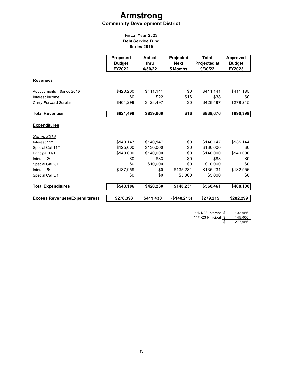# **Armstrong Community Development District**

# **Fiscal Year 2023 Debt Service Fund Series 2019**

|                                       | Proposed<br><b>Budget</b><br>FY2022 | <b>Actual</b><br>thru<br>4/30/22 | Projected<br><b>Next</b><br>5 Months | <b>Total</b><br><b>Projected at</b><br>9/30/22 | Approved<br><b>Budget</b><br>FY2023 |
|---------------------------------------|-------------------------------------|----------------------------------|--------------------------------------|------------------------------------------------|-------------------------------------|
| <b>Revenues</b>                       |                                     |                                  |                                      |                                                |                                     |
| Assessments - Series 2019             | \$420,200                           | \$411,141                        | \$0                                  | \$411,141                                      | \$411,185                           |
| Interest Income                       | \$0                                 | \$22                             | \$16                                 | \$38                                           | \$0                                 |
| Carry Forward Surplus                 | \$401,299                           | \$428,497                        | \$0                                  | \$428,497                                      | \$279,215                           |
| <b>Total Revenues</b>                 | \$821,499                           | \$839,660                        | \$16                                 | \$839.676                                      | \$690,399                           |
| <b>Expenditures</b>                   |                                     |                                  |                                      |                                                |                                     |
| <b>Series 2019</b>                    |                                     |                                  |                                      |                                                |                                     |
| Interest 11/1                         | \$140,147                           | \$140,147                        | \$0                                  | \$140,147                                      | \$135,144                           |
| Special Call 11/1                     | \$125,000                           | \$130,000                        | \$0                                  | \$130,000                                      | \$0                                 |
| Principal 11/1                        | \$140,000                           | \$140,000                        | \$0                                  | \$140.000                                      | \$140,000                           |
| Interest 2/1                          | \$0                                 | \$83                             | \$0                                  | \$83                                           | \$0                                 |
| Special Call 2/1                      | \$0                                 | \$10,000                         | \$0                                  | \$10,000                                       | \$0                                 |
| Interest 5/1                          | \$137,959                           | \$0                              | \$135,231                            | \$135.231                                      | \$132,956                           |
| Special Call 5/1                      | \$0                                 | \$0                              | \$5,000                              | \$5,000                                        | \$0                                 |
| <b>Total Expenditures</b>             | \$543,106                           | \$420,230                        | \$140,231                            | \$560,461                                      | \$408,100                           |
| <b>Excess Revenues/(Expenditures)</b> | \$278,393                           | \$419,430                        | (\$140,215)                          | \$279,215                                      | \$282,299                           |

11/1/23 Interest \$ 132,956 11/1/23 Principal \$ 145,000 \$ 277,956